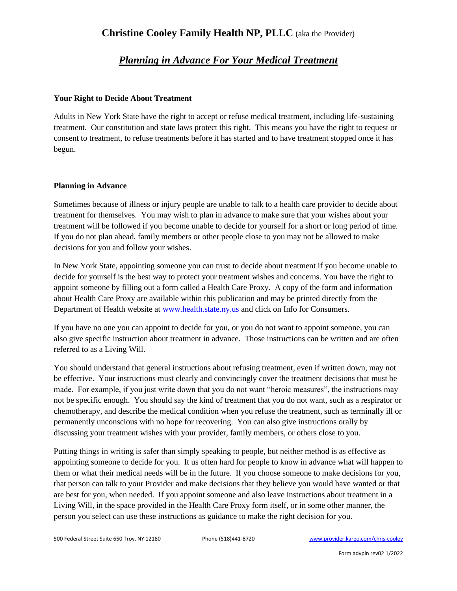# **Christine Cooley Family Health NP, PLLC** (aka the Provider)

# *Planning in Advance For Your Medical Treatment*

### **Your Right to Decide About Treatment**

Adults in New York State have the right to accept or refuse medical treatment, including life-sustaining treatment. Our constitution and state laws protect this right. This means you have the right to request or consent to treatment, to refuse treatments before it has started and to have treatment stopped once it has begun.

### **Planning in Advance**

Sometimes because of illness or injury people are unable to talk to a health care provider to decide about treatment for themselves. You may wish to plan in advance to make sure that your wishes about your treatment will be followed if you become unable to decide for yourself for a short or long period of time. If you do not plan ahead, family members or other people close to you may not be allowed to make decisions for you and follow your wishes.

In New York State, appointing someone you can trust to decide about treatment if you become unable to decide for yourself is the best way to protect your treatment wishes and concerns. You have the right to appoint someone by filling out a form called a Health Care Proxy. A copy of the form and information about Health Care Proxy are available within this publication and may be printed directly from the Department of Health website a[t www.health.state.ny.us](http://www.health.state.ny.us/) and click on Info for Consumers.

If you have no one you can appoint to decide for you, or you do not want to appoint someone, you can also give specific instruction about treatment in advance. Those instructions can be written and are often referred to as a Living Will.

You should understand that general instructions about refusing treatment, even if written down, may not be effective. Your instructions must clearly and convincingly cover the treatment decisions that must be made. For example, if you just write down that you do not want "heroic measures", the instructions may not be specific enough. You should say the kind of treatment that you do not want, such as a respirator or chemotherapy, and describe the medical condition when you refuse the treatment, such as terminally ill or permanently unconscious with no hope for recovering. You can also give instructions orally by discussing your treatment wishes with your provider, family members, or others close to you.

Putting things in writing is safer than simply speaking to people, but neither method is as effective as appointing someone to decide for you. It us often hard for people to know in advance what will happen to them or what their medical needs will be in the future. If you choose someone to make decisions for you, that person can talk to your Provider and make decisions that they believe you would have wanted or that are best for you, when needed. If you appoint someone and also leave instructions about treatment in a Living Will, in the space provided in the Health Care Proxy form itself, or in some other manner, the person you select can use these instructions as guidance to make the right decision for you.